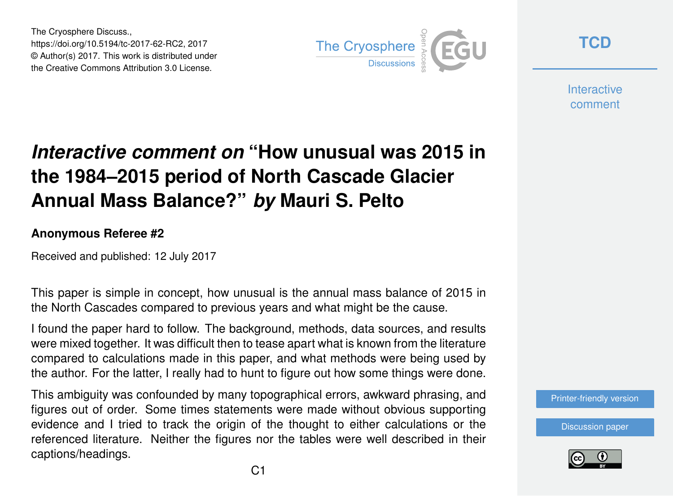The Cryosphere Discuss., https://doi.org/10.5194/tc-2017-62-RC2, 2017 © Author(s) 2017. This work is distributed under the Creative Commons Attribution 3.0 License.



**[TCD](https://www.the-cryosphere-discuss.net/)**

**Interactive** comment

## *Interactive comment on* **"How unusual was 2015 in the 1984–2015 period of North Cascade Glacier Annual Mass Balance?"** *by* **Mauri S. Pelto**

## **Anonymous Referee #2**

Received and published: 12 July 2017

This paper is simple in concept, how unusual is the annual mass balance of 2015 in the North Cascades compared to previous years and what might be the cause.

I found the paper hard to follow. The background, methods, data sources, and results were mixed together. It was difficult then to tease apart what is known from the literature compared to calculations made in this paper, and what methods were being used by the author. For the latter, I really had to hunt to figure out how some things were done.

This ambiguity was confounded by many topographical errors, awkward phrasing, and figures out of order. Some times statements were made without obvious supporting evidence and I tried to track the origin of the thought to either calculations or the referenced literature. Neither the figures nor the tables were well described in their captions/headings.

[Printer-friendly version](https://www.the-cryosphere-discuss.net/tc-2017-62/tc-2017-62-RC2-print.pdf)

[Discussion paper](https://www.the-cryosphere-discuss.net/tc-2017-62)